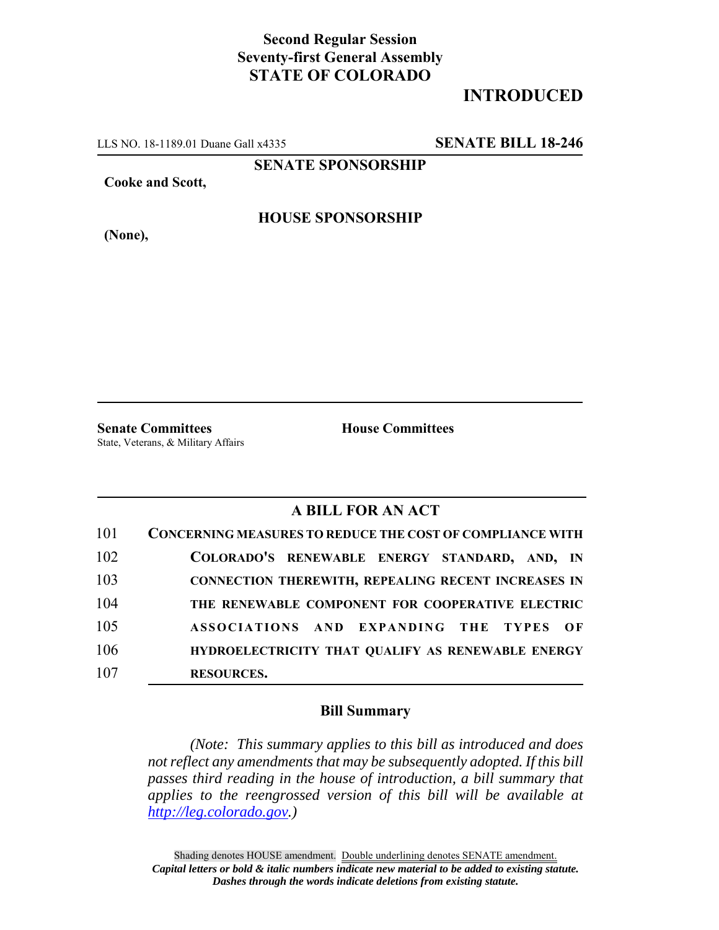## **Second Regular Session Seventy-first General Assembly STATE OF COLORADO**

## **INTRODUCED**

LLS NO. 18-1189.01 Duane Gall x4335 **SENATE BILL 18-246**

**SENATE SPONSORSHIP**

**Cooke and Scott,**

**(None),**

### **HOUSE SPONSORSHIP**

**Senate Committees House Committees** State, Veterans, & Military Affairs

#### **A BILL FOR AN ACT**

| 101 | <b>CONCERNING MEASURES TO REDUCE THE COST OF COMPLIANCE WITH</b> |
|-----|------------------------------------------------------------------|
| 102 | COLORADO'S RENEWABLE ENERGY STANDARD, AND, IN                    |
| 103 | <b>CONNECTION THEREWITH, REPEALING RECENT INCREASES IN</b>       |
| 104 | THE RENEWABLE COMPONENT FOR COOPERATIVE ELECTRIC                 |
| 105 | ASSOCIATIONS AND EXPANDING THE TYPES OF                          |
| 106 | HYDROELECTRICITY THAT QUALIFY AS RENEWABLE ENERGY                |
| 107 | <b>RESOURCES.</b>                                                |

#### **Bill Summary**

*(Note: This summary applies to this bill as introduced and does not reflect any amendments that may be subsequently adopted. If this bill passes third reading in the house of introduction, a bill summary that applies to the reengrossed version of this bill will be available at http://leg.colorado.gov.)*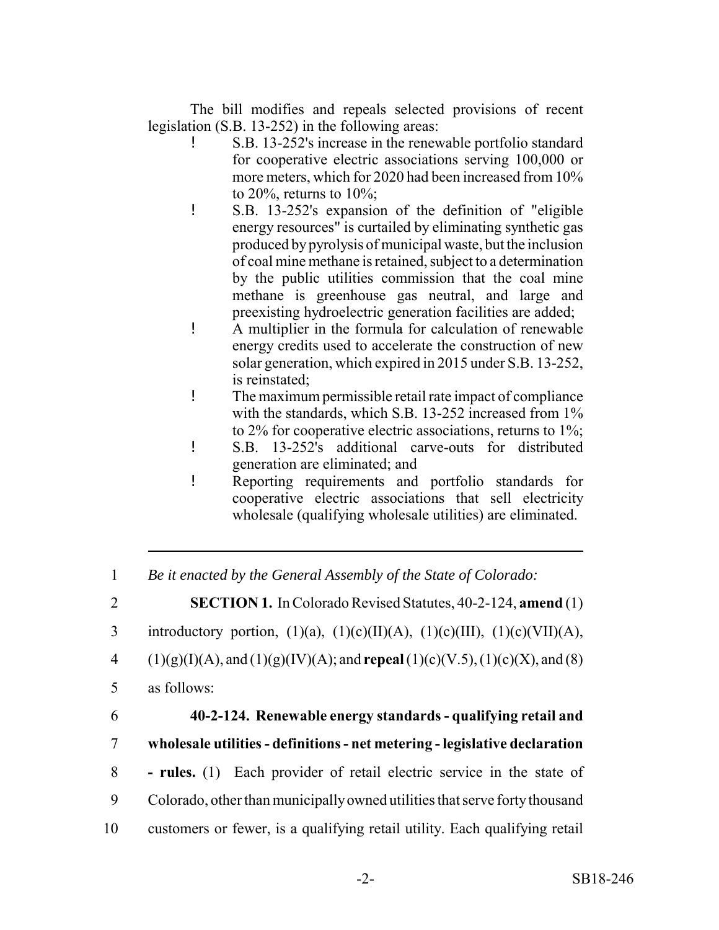The bill modifies and repeals selected provisions of recent legislation (S.B. 13-252) in the following areas:

- ! S.B. 13-252's increase in the renewable portfolio standard for cooperative electric associations serving 100,000 or more meters, which for 2020 had been increased from 10% to  $20\%$ , returns to  $10\%$ ;
- ! S.B. 13-252's expansion of the definition of "eligible energy resources" is curtailed by eliminating synthetic gas produced by pyrolysis of municipal waste, but the inclusion of coal mine methane is retained, subject to a determination by the public utilities commission that the coal mine methane is greenhouse gas neutral, and large and preexisting hydroelectric generation facilities are added;
- ! A multiplier in the formula for calculation of renewable energy credits used to accelerate the construction of new solar generation, which expired in 2015 under S.B. 13-252, is reinstated;
- ! The maximum permissible retail rate impact of compliance with the standards, which S.B. 13-252 increased from 1% to 2% for cooperative electric associations, returns to 1%;
- ! S.B. 13-252's additional carve-outs for distributed generation are eliminated; and
- ! Reporting requirements and portfolio standards for cooperative electric associations that sell electricity wholesale (qualifying wholesale utilities) are eliminated.

1 *Be it enacted by the General Assembly of the State of Colorado:*

2 **SECTION 1.** In Colorado Revised Statutes, 40-2-124, **amend** (1)

3 introductory portion,  $(1)(a)$ ,  $(1)(c)(II)(A)$ ,  $(1)(c)(III)$ ,  $(1)(c)(VII)(A)$ ,

- 4 (1)(g)(I)(A), and (1)(g)(IV)(A); and **repeal** (1)(c)(V.5), (1)(c)(X), and (8)
- 5 as follows:
- 

# 6 **40-2-124. Renewable energy standards - qualifying retail and** 7 **wholesale utilities - definitions - net metering - legislative declaration**

- 8  **rules.** (1) Each provider of retail electric service in the state of
- 9 Colorado, other than municipally owned utilities that serve forty thousand
- 10 customers or fewer, is a qualifying retail utility. Each qualifying retail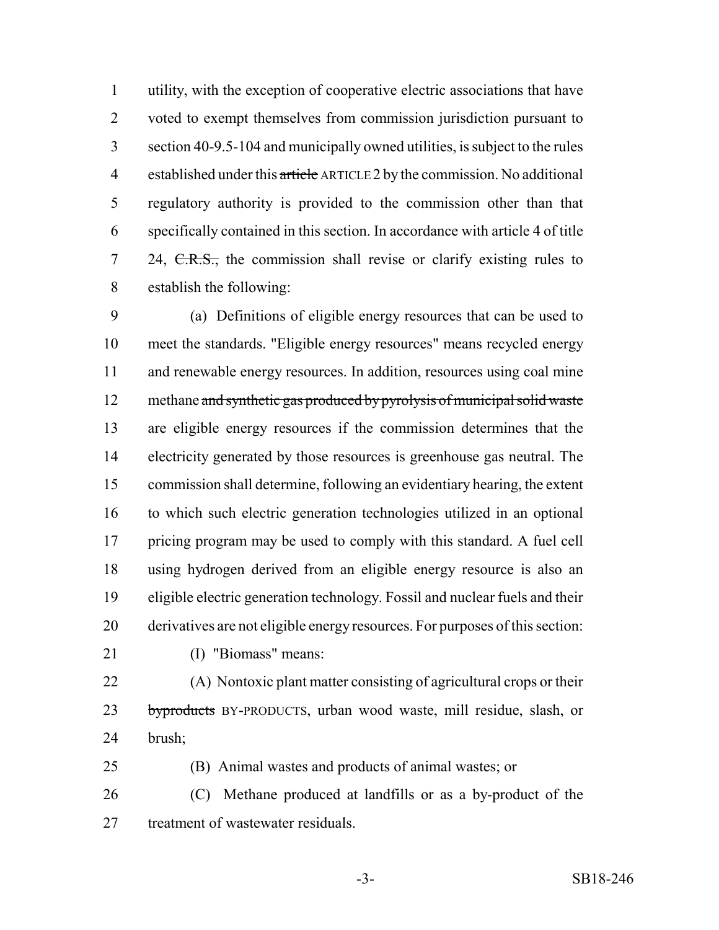utility, with the exception of cooperative electric associations that have voted to exempt themselves from commission jurisdiction pursuant to section 40-9.5-104 and municipally owned utilities, is subject to the rules 4 established under this article ARTICLE 2 by the commission. No additional regulatory authority is provided to the commission other than that specifically contained in this section. In accordance with article 4 of title 7 24,  $C.R.S.,$  the commission shall revise or clarify existing rules to establish the following:

 (a) Definitions of eligible energy resources that can be used to meet the standards. "Eligible energy resources" means recycled energy and renewable energy resources. In addition, resources using coal mine 12 methane and synthetic gas produced by pyrolysis of municipal solid waste are eligible energy resources if the commission determines that the electricity generated by those resources is greenhouse gas neutral. The commission shall determine, following an evidentiary hearing, the extent to which such electric generation technologies utilized in an optional pricing program may be used to comply with this standard. A fuel cell using hydrogen derived from an eligible energy resource is also an eligible electric generation technology. Fossil and nuclear fuels and their derivatives are not eligible energy resources. For purposes of this section:

(I) "Biomass" means:

 (A) Nontoxic plant matter consisting of agricultural crops or their 23 byproducts BY-PRODUCTS, urban wood waste, mill residue, slash, or brush;

(B) Animal wastes and products of animal wastes; or

 (C) Methane produced at landfills or as a by-product of the treatment of wastewater residuals.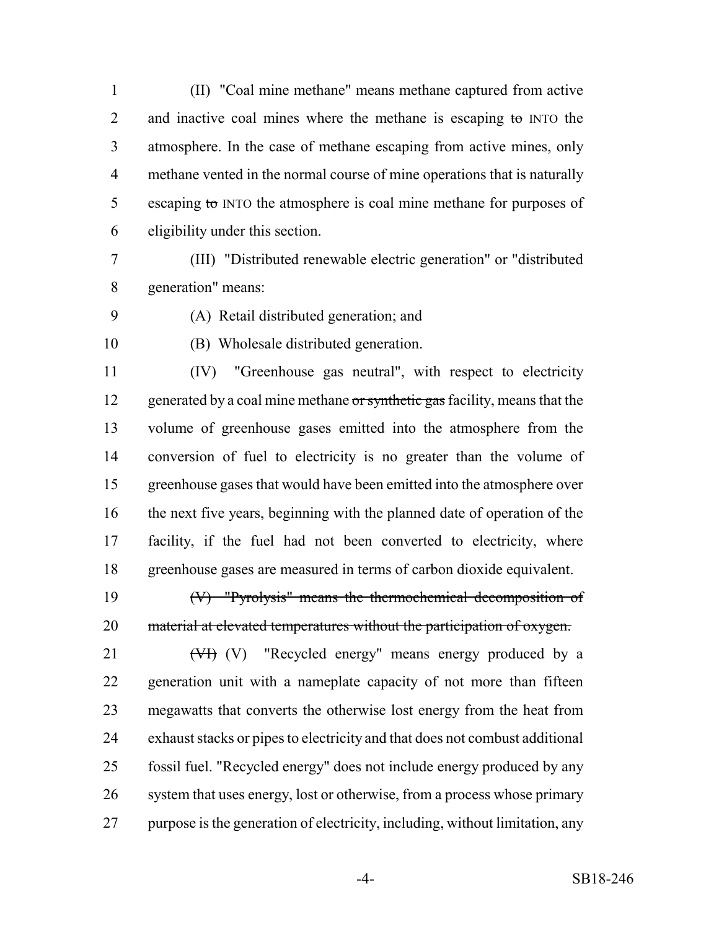(II) "Coal mine methane" means methane captured from active 2 and inactive coal mines where the methane is escaping to INTO the atmosphere. In the case of methane escaping from active mines, only methane vented in the normal course of mine operations that is naturally 5 escaping to INTO the atmosphere is coal mine methane for purposes of eligibility under this section.

- (III) "Distributed renewable electric generation" or "distributed generation" means:
- 

(A) Retail distributed generation; and

(B) Wholesale distributed generation.

 (IV) "Greenhouse gas neutral", with respect to electricity 12 generated by a coal mine methane or synthetic gas facility, means that the volume of greenhouse gases emitted into the atmosphere from the conversion of fuel to electricity is no greater than the volume of greenhouse gases that would have been emitted into the atmosphere over the next five years, beginning with the planned date of operation of the facility, if the fuel had not been converted to electricity, where greenhouse gases are measured in terms of carbon dioxide equivalent.

 (V) "Pyrolysis" means the thermochemical decomposition of 20 material at elevated temperatures without the participation of oxygen.

21 (V<sub>I</sub>) (V) "Recycled energy" means energy produced by a generation unit with a nameplate capacity of not more than fifteen megawatts that converts the otherwise lost energy from the heat from exhaust stacks or pipes to electricity and that does not combust additional fossil fuel. "Recycled energy" does not include energy produced by any system that uses energy, lost or otherwise, from a process whose primary purpose is the generation of electricity, including, without limitation, any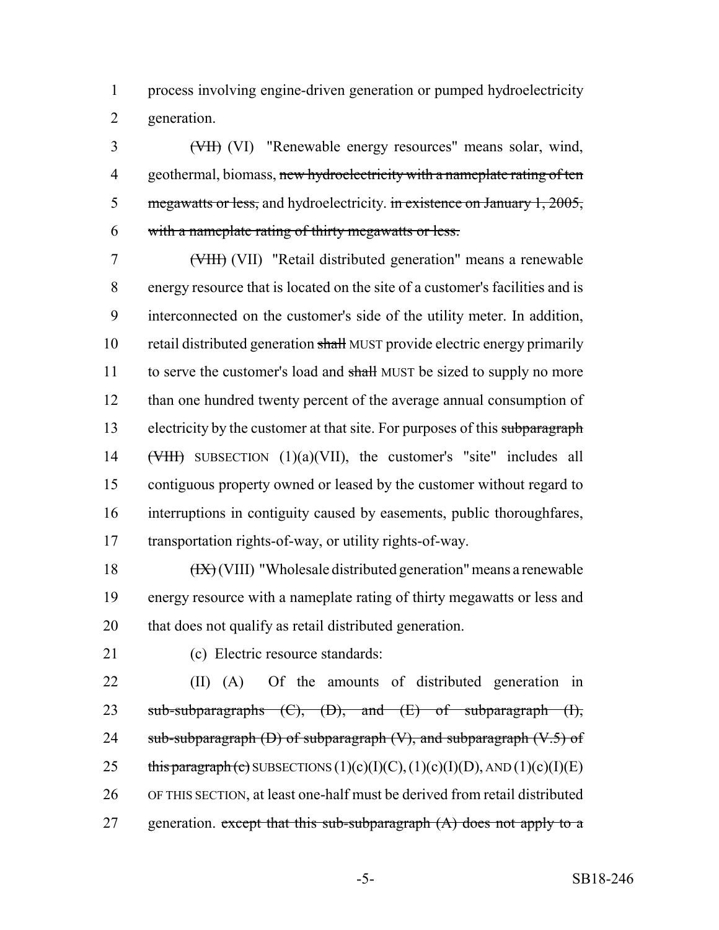process involving engine-driven generation or pumped hydroelectricity generation.

 (VII) (VI) "Renewable energy resources" means solar, wind, 4 geothermal, biomass, new hydroelectricity with a nameplate rating of ten 5 megawatts or less, and hydroelectricity. in existence on January 1, 2005, with a nameplate rating of thirty megawatts or less.

 (VIII) (VII) "Retail distributed generation" means a renewable energy resource that is located on the site of a customer's facilities and is interconnected on the customer's side of the utility meter. In addition, retail distributed generation shall MUST provide electric energy primarily 11 to serve the customer's load and shall MUST be sized to supply no more than one hundred twenty percent of the average annual consumption of 13 electricity by the customer at that site. For purposes of this subparagraph (VIII) SUBSECTION (1)(a)(VII), the customer's "site" includes all contiguous property owned or leased by the customer without regard to interruptions in contiguity caused by easements, public thoroughfares, transportation rights-of-way, or utility rights-of-way.

18  $(HX)(VIII)$  "Wholesale distributed generation" means a renewable energy resource with a nameplate rating of thirty megawatts or less and that does not qualify as retail distributed generation.

(c) Electric resource standards:

 (II) (A) Of the amounts of distributed generation in 23 sub-subparagraphs  $(C)$ ,  $(D)$ , and  $(E)$  of subparagraph  $(H)$ , 24 sub-subparagraph  $(D)$  of subparagraph  $(V)$ , and subparagraph  $(V.5)$  of 25 this paragraph (c) SUBSECTIONS  $(1)(c)(I)(C)$ ,  $(1)(c)(I)(D)$ , AND  $(1)(c)(I)(E)$  OF THIS SECTION, at least one-half must be derived from retail distributed 27 generation. except that this sub-subparagraph  $(A)$  does not apply to a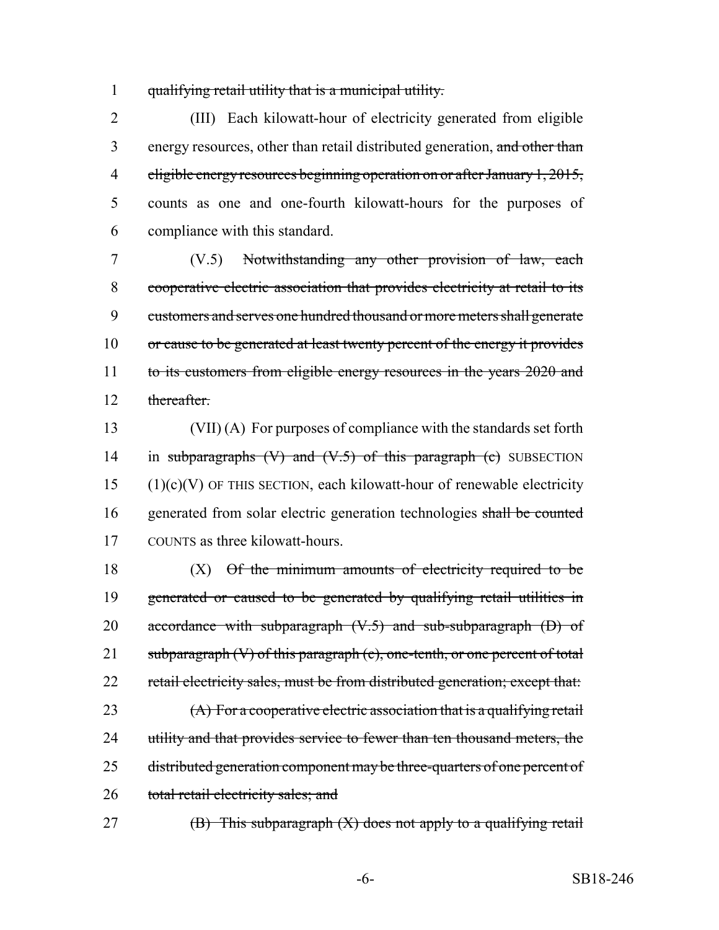1 qualifying retail utility that is a municipal utility.

 (III) Each kilowatt-hour of electricity generated from eligible 3 energy resources, other than retail distributed generation, and other than eligible energy resources beginning operation on or after January 1, 2015, counts as one and one-fourth kilowatt-hours for the purposes of compliance with this standard.

7 (V.5) Notwithstanding any other provision of law, each 8 cooperative electric association that provides electricity at retail to its 9 customers and serves one hundred thousand or more meters shall generate 10 or cause to be generated at least twenty percent of the energy it provides 11 to its customers from eligible energy resources in the years 2020 and 12 thereafter

13 (VII) (A) For purposes of compliance with the standards set forth 14 in subparagraphs  $(V)$  and  $(V.5)$  of this paragraph  $(e)$  SUBSECTION  $15$  (1)(c)(V) OF THIS SECTION, each kilowatt-hour of renewable electricity 16 generated from solar electric generation technologies shall be counted 17 COUNTS as three kilowatt-hours.

 $18$  (X)  $\Theta$ f the minimum amounts of electricity required to be 19 generated or caused to be generated by qualifying retail utilities in 20 accordance with subparagraph  $(V.5)$  and sub-subparagraph  $(D)$  of 21 subparagraph  $(V)$  of this paragraph  $(c)$ , one-tenth, or one percent of total 22 retail electricity sales, must be from distributed generation; except that: 23 (A) For a cooperative electric association that is a qualifying retail 24 utility and that provides service to fewer than ten thousand meters, the 25 distributed generation component may be three-quarters of one percent of 26 total retail electricity sales; and

27  $(B)$  This subparagraph  $(X)$  does not apply to a qualifying retail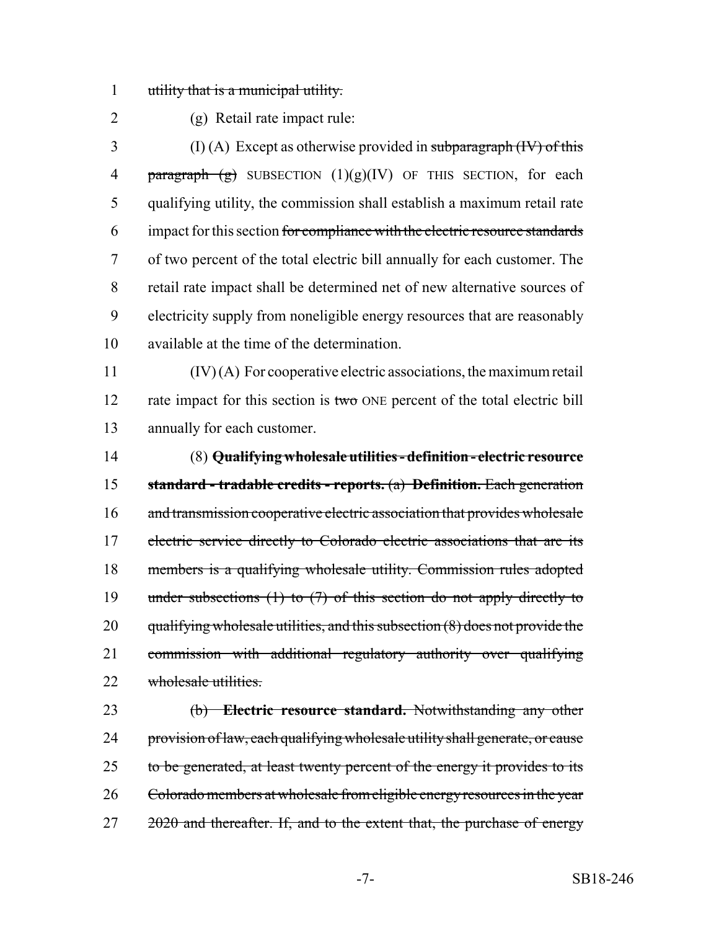utility that is a municipal utility.

(g) Retail rate impact rule:

3 (I) (A) Except as otherwise provided in subparagraph  $(W)$  of this **paragraph**  $(g)$  SUBSECTION  $(1)(g)(IV)$  OF THIS SECTION, for each qualifying utility, the commission shall establish a maximum retail rate impact for this section for compliance with the electric resource standards of two percent of the total electric bill annually for each customer. The retail rate impact shall be determined net of new alternative sources of electricity supply from noneligible energy resources that are reasonably available at the time of the determination.

 (IV) (A) For cooperative electric associations, the maximum retail 12 rate impact for this section is two ONE percent of the total electric bill annually for each customer.

 (8) **Qualifying wholesale utilities - definition - electric resource standard - tradable credits - reports.** (a) **Definition.** Each generation 16 and transmission cooperative electric association that provides wholesale 17 electric service directly to Colorado electric associations that are its members is a qualifying wholesale utility. Commission rules adopted 19 under subsections (1) to (7) of this section do not apply directly to qualifying wholesale utilities, and this subsection (8) does not provide the commission with additional regulatory authority over qualifying 22 wholesale utilities.

 (b) **Electric resource standard.** Notwithstanding any other 24 provision of law, each qualifying wholesale utility shall generate, or cause 25 to be generated, at least twenty percent of the energy it provides to its Colorado members at wholesale from eligible energy resources in the year 27 2020 and thereafter. If, and to the extent that, the purchase of energy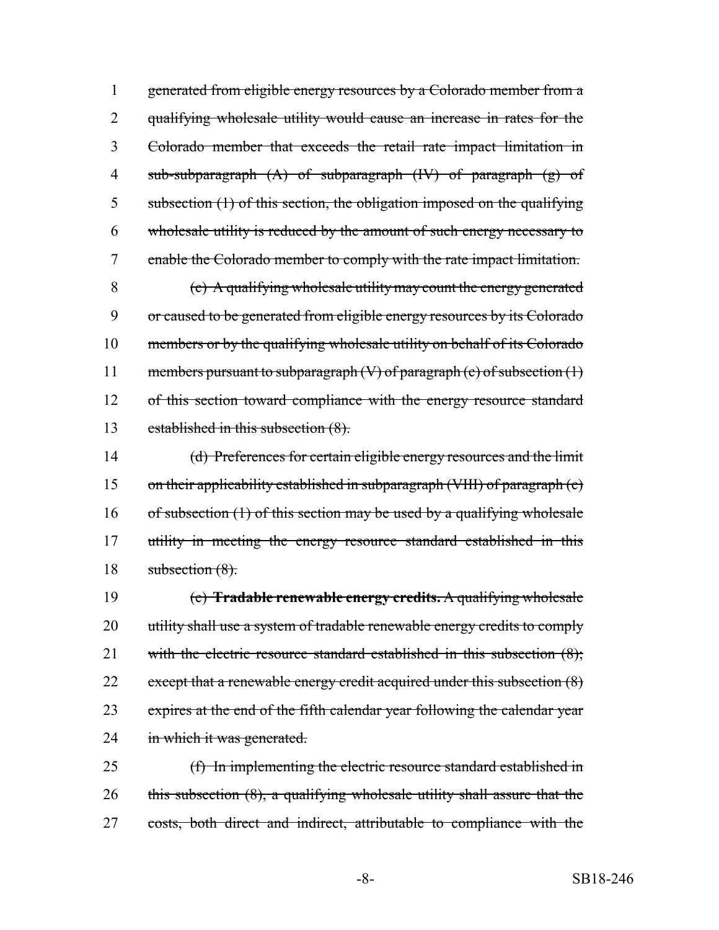generated from eligible energy resources by a Colorado member from a qualifying wholesale utility would cause an increase in rates for the Colorado member that exceeds the retail rate impact limitation in sub-subparagraph (A) of subparagraph (IV) of paragraph (g) of subsection (1) of this section, the obligation imposed on the qualifying wholesale utility is reduced by the amount of such energy necessary to enable the Colorado member to comply with the rate impact limitation. (c) A qualifying wholesale utility may count the energy generated or caused to be generated from eligible energy resources by its Colorado members or by the qualifying wholesale utility on behalf of its Colorado 11 members pursuant to subparagraph  $(V)$  of paragraph  $(c)$  of subsection  $(1)$ 

12 of this section toward compliance with the energy resource standard established in this subsection (8).

 (d) Preferences for certain eligible energy resources and the limit on their applicability established in subparagraph (VIII) of paragraph (c) 16 of subsection  $(1)$  of this section may be used by a qualifying wholesale 17 utility in meeting the energy resource standard established in this 18 subsection (8).

 (e) **Tradable renewable energy credits.** A qualifying wholesale 20 utility shall use a system of tradable renewable energy credits to comply 21 with the electric resource standard established in this subsection (8); 22 except that a renewable energy credit acquired under this subsection (8) expires at the end of the fifth calendar year following the calendar year 24 in which it was generated.

 (f) In implementing the electric resource standard established in 26 this subsection (8), a qualifying wholesale utility shall assure that the costs, both direct and indirect, attributable to compliance with the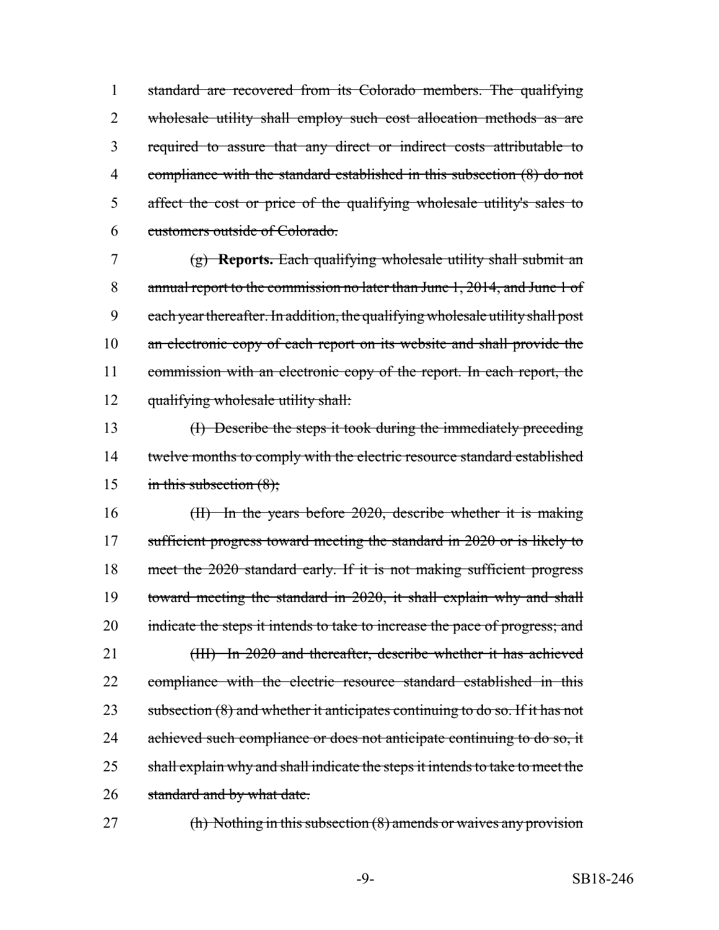standard are recovered from its Colorado members. The qualifying 2 wholesale utility shall employ such cost allocation methods as are required to assure that any direct or indirect costs attributable to compliance with the standard established in this subsection (8) do not affect the cost or price of the qualifying wholesale utility's sales to customers outside of Colorado.

 (g) **Reports.** Each qualifying wholesale utility shall submit an annual report to the commission no later than June 1, 2014, and June 1 of 9 each year thereafter. In addition, the qualifying wholesale utility shall post 10 an electronic copy of each report on its website and shall provide the commission with an electronic copy of the report. In each report, the qualifying wholesale utility shall:

13 (I) Describe the steps it took during the immediately preceding 14 twelve months to comply with the electric resource standard established 15 in this subsection  $(8)$ ;

16 (II) In the years before 2020, describe whether it is making 17 sufficient progress toward meeting the standard in 2020 or is likely to 18 meet the 2020 standard early. If it is not making sufficient progress 19 toward meeting the standard in 2020, it shall explain why and shall 20 indicate the steps it intends to take to increase the pace of progress; and 21 (III) In 2020 and thereafter, describe whether it has achieved 22 compliance with the electric resource standard established in this 23 subsection (8) and whether it anticipates continuing to do so. If it has not 24 achieved such compliance or does not anticipate continuing to do so, it 25 shall explain why and shall indicate the steps it intends to take to meet the 26 standard and by what date.

27 (h) Nothing in this subsection (8) amends or waives any provision